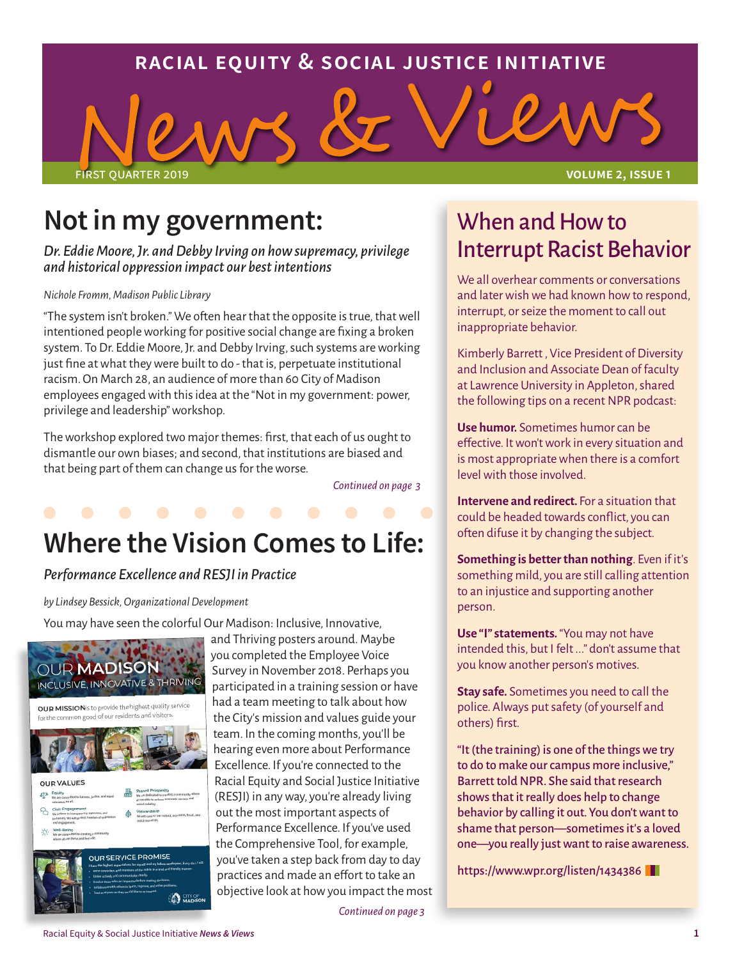### **racial equity & social justice initiative**

first quarter 2019 **volume 2, issue 1**

## **Not in my government:**

*Dr. Eddie Moore, Jr. and Debby Irving on how supremacy, privilege and historical oppression impact our best intentions*

#### *Nichole Fromm, Madison Public Library*

"The system isn't broken." We often hear that the opposite is true, that well intentioned people working for positive social change are fixing a broken system. To Dr. Eddie Moore, Jr. and Debby Irving, such systems are working just fine at what they were built to do - that is, perpetuate institutional racism. On March 28, an audience of more than 60 City of Madison employees engaged with this idea at the "Not in my government: power, privilege and leadership" workshop.

The workshop explored two major themes: first, that each of us ought to dismantle our own biases; and second, that institutions are biased and that being part of them can change us for the worse.

*Continued on page 3*

## **Where the Vision Comes to Life:**

#### *Performance Excellence and RESJI in Practice*

*by Lindsey Bessick, Organizational Development*

You may have seen the colorful Our Madison: Inclusive, Innovative,



and Thriving posters around. Maybe you completed the Employee Voice Survey in November 2018. Perhaps you participated in a training session or have had a team meeting to talk about how the City's mission and values guide your team. In the coming months, you'll be hearing even more about Performance Excellence. If you're connected to the Racial Equity and Social Justice Initiative (RESJI) in any way, you're already living out the most important aspects of Performance Excellence. If you've used the Comprehensive Tool, for example, you've taken a step back from day to day practices and made an effort to take an objective look at how you impact the most

### When and How to Interrupt Racist Behavior

We all overhear comments or conversations and later wish we had known how to respond, interrupt, or seize the moment to call out inappropriate behavior.

Kimberly Barrett , Vice President of Diversity and Inclusion and Associate Dean of faculty at Lawrence University in Appleton, shared the following tips on a recent NPR podcast:

**Use humor.** Sometimes humor can be effective. It won't work in every situation and is most appropriate when there is a comfort level with those involved.

**Intervene and redirect.** For a situation that could be headed towards conflict, you can often difuse it by changing the subject.

**Something is better than nothing**. Even if it's something mild, you are still calling attention to an injustice and supporting another person.

**Use "I" statements.** "You may not have intended this, but I felt ..." don't assume that you know another person's motives.

**Stay safe.** Sometimes you need to call the police. Always put safety (of yourself and others) first.

"It (the training) is one of the things we try to do to make our campus more inclusive," Barrett told NPR. She said that research shows that it really does help to change behavior by calling it out. You don't want to shame that person—sometimes it's a loved one—you really just want to raise awareness.

https://www.wpr.org/listen/1434386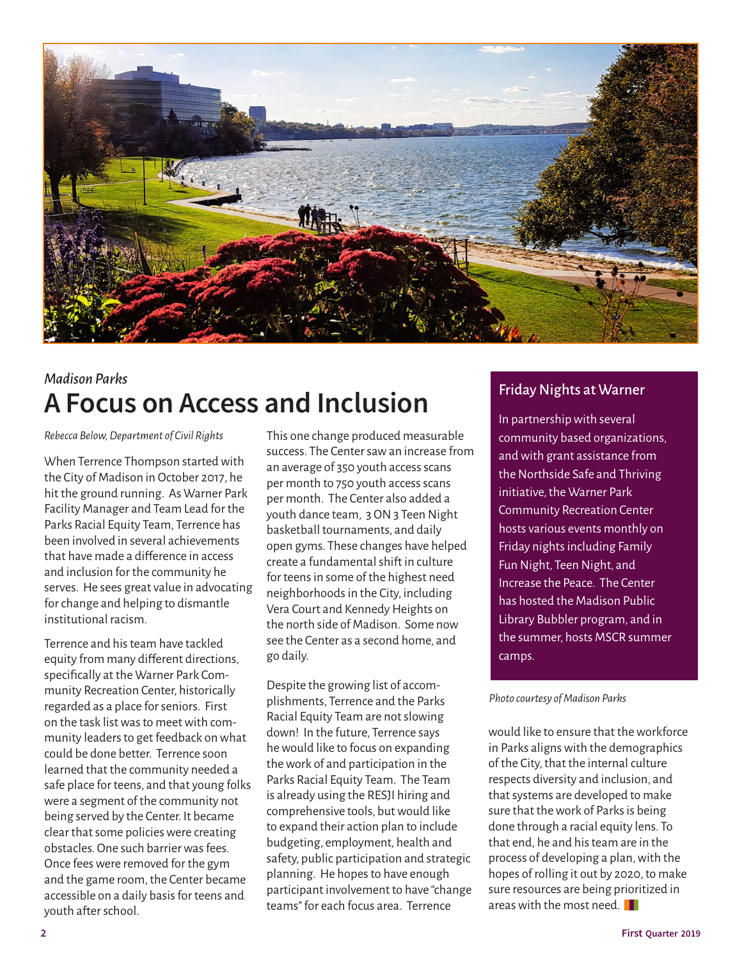

### *Madison Parks*  **A Focus on Access and Inclusion**

*Rebecca Below, Department of Civil Rights*

When Terrence Thompson started with the City of Madison in October 2017, he hit the ground running. As Warner Park Facility Manager and Team Lead for the Parks Racial Equity Team, Terrence has been involved in several achievements that have made a difference in access and inclusion for the community he serves. He sees great value in advocating for change and helping to dismantle institutional racism.

Terrence and his team have tackled equity from many different directions, specifically at the Warner Park Community Recreation Center, historically regarded as a place for seniors. First on the task list was to meet with community leaders to get feedback on what could be done better. Terrence soon learned that the community needed a safe place for teens, and that young folks were a segment of the community not being served by the Center. It became clear that some policies were creating obstacles. One such barrier was fees. Once fees were removed for the gym and the game room, the Center became accessible on a daily basis for teens and youth after school.

This one change produced measurable success. The Center saw an increase from an average of 350 youth access scans per month to 750 youth access scans per month. The Center also added a youth dance team, 3 ON 3 Teen Night basketball tournaments, and daily open gyms. These changes have helped create a fundamental shift in culture for teens in some of the highest need neighborhoods in the City, including Vera Court and Kennedy Heights on the north side of Madison. Some now see the Center as a second home, and go daily.

Despite the growing list of accomplishments, Terrence and the Parks Racial Equity Team are not slowing down! In the future, Terrence says he would like to focus on expanding the work of and participation in the Parks Racial Equity Team. The Team is already using the RESJI hiring and comprehensive tools, but would like to expand their action plan to include budgeting, employment, health and safety, public participation and strategic planning. He hopes to have enough participant involvement to have "change teams" for each focus area. Terrence

#### Friday Nights at Warner

In partnership with several community based organizations, and with grant assistance from the Northside Safe and Thriving initiative, the Warner Park Community Recreation Center hosts various events monthly on Friday nights including Family Fun Night, Teen Night, and Increase the Peace. The Center has hosted the Madison Public Library Bubbler program, and in the summer, hosts MSCR summer camps.

#### *Photo courtesy of Madison Parks*

would like to ensure that the workforce in Parks aligns with the demographics of the City, that the internal culture respects diversity and inclusion, and that systems are developed to make sure that the work of Parks is being done through a racial equity lens. To that end, he and his team are in the process of developing a plan, with the hopes of rolling it out by 2020, to make sure resources are being prioritized in areas with the most need.  $\blacksquare$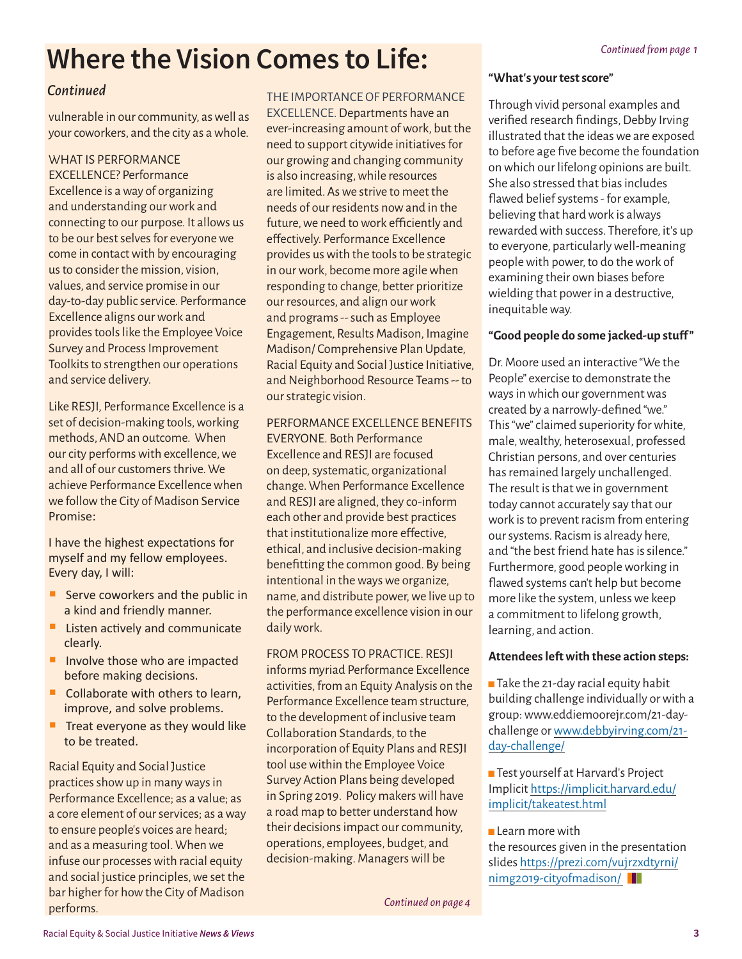# *Continued from page 1* **Where the Vision Comes to Life:**

#### *Continued*

vulnerable in our community, as well as your coworkers, and the city as a whole.

#### WHAT IS PERFORMANCE

EXCELLENCE? Performance Excellence is a way of organizing and understanding our work and connecting to our purpose. It allows us to be our best selves for everyone we come in contact with by encouraging us to consider the mission, vision, values, and service promise in our day-to-day public service. Performance Excellence aligns our work and provides tools like the Employee Voice Survey and Process Improvement Toolkits to strengthen our operations and service delivery.

Like RESJI, Performance Excellence is a set of decision-making tools, working methods, AND an outcome. When our city performs with excellence, we and all of our customers thrive. We achieve Performance Excellence when we follow the City of Madison Service Promise:

I have the highest expectations for myself and my fellow employees. Every day, I will:

- Serve coworkers and the public in a kind and friendly manner.
- **Listen actively and communicate** clearly.
- Involve those who are impacted before making decisions.
- Collaborate with others to learn, improve, and solve problems.
- Treat everyone as they would like to be treated.

Racial Equity and Social Justice practices show up in many ways in Performance Excellence; as a value; as a core element of our services; as a way to ensure people's voices are heard; and as a measuring tool. When we infuse our processes with racial equity and social justice principles, we set the bar higher for how the City of Madison performs.

THE IMPORTANCE OF PERFORMANCE EXCELLENCE. Departments have an ever-increasing amount of work, but the need to support citywide initiatives for our growing and changing community is also increasing, while resources are limited. As we strive to meet the needs of our residents now and in the future, we need to work efficiently and effectively. Performance Excellence provides us with the tools to be strategic in our work, become more agile when responding to change, better prioritize our resources, and align our work and programs -- such as Employee Engagement, Results Madison, Imagine Madison/ Comprehensive Plan Update, Racial Equity and Social Justice Initiative, and Neighborhood Resource Teams -- to our strategic vision.

#### PERFORMANCE EXCELLENCE BENEFITS

EVERYONE. Both Performance Excellence and RESJI are focused on deep, systematic, organizational change. When Performance Excellence and RESJI are aligned, they co-inform each other and provide best practices that institutionalize more effective, ethical, and inclusive decision-making benefitting the common good. By being intentional in the ways we organize, name, and distribute power, we live up to the performance excellence vision in our daily work.

FROM PROCESS TO PRACTICE. RESJI informs myriad Performance Excellence activities, from an Equity Analysis on the Performance Excellence team structure, to the development of inclusive team Collaboration Standards, to the incorporation of Equity Plans and RESJI tool use within the Employee Voice Survey Action Plans being developed in Spring 2019. Policy makers will have a road map to better understand how their decisions impact our community, operations, employees, budget, and decision-making. Managers will be

**"What's your test score"**

Through vivid personal examples and verified research findings, Debby Irving illustrated that the ideas we are exposed to before age five become the foundation on which our lifelong opinions are built. She also stressed that bias includes flawed belief systems - for example, believing that hard work is always rewarded with success. Therefore, it's up to everyone, particularly well-meaning people with power, to do the work of examining their own biases before wielding that power in a destructive, inequitable way.

#### **"Good people do some jacked-up stuff "**

Dr. Moore used an interactive "We the People" exercise to demonstrate the ways in which our government was created by a narrowly-defined "we." This "we" claimed superiority for white, male, wealthy, heterosexual, professed Christian persons, and over centuries has remained largely unchallenged. The result is that we in government today cannot accurately say that our work is to prevent racism from entering our systems. Racism is already here, and "the best friend hate has is silence." Furthermore, good people working in flawed systems can't help but become more like the system, unless we keep a commitment to lifelong growth, learning, and action.

#### **Attendees left with these action steps:**

 $\blacksquare$  Take the 21-day racial equity habit building challenge individually or with a group: www.eddiemoorejr.com/21-daychallenge or [www.debbyirving.com/21](http://www.debbyirving.com/21-day-challenge/) [day-challenge/](http://www.debbyirving.com/21-day-challenge/)

**Test yourself at Harvard's Project** Implicit [https://implicit.harvard.edu/](https://implicit.harvard.edu/implicit/takeatest.html) [implicit/takeatest.html](https://implicit.harvard.edu/implicit/takeatest.html)

 $\blacksquare$  Learn more with the resources given in the presentation slides https://prezi.com/vujrzxdtyrni/ nimg2019-cityofmadison/

*Continued on page 4*